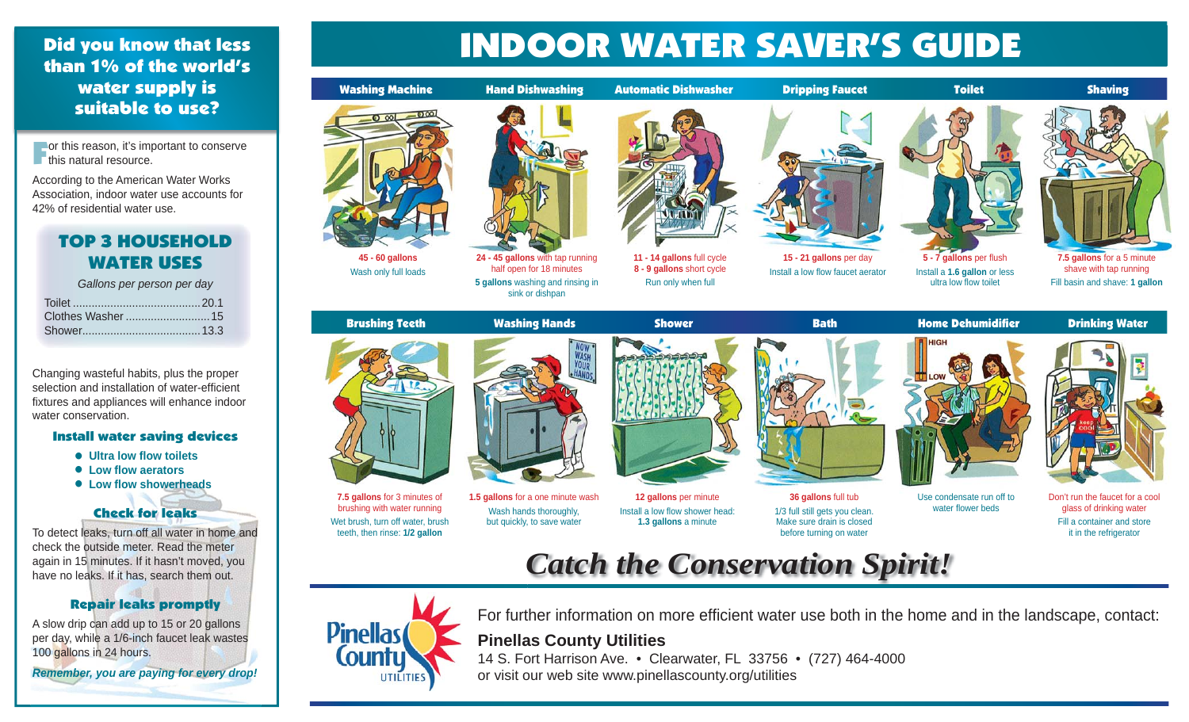## Did you know that less than 1% of the world's water supply is suitable to use?

For this reason, it's important to conserve this natural resource.

According to the American Water Works Association, indoor water use accounts for 42% of residential water use.

# TOP 3 HOUSEHOLD WATER USES

*Gallons per person per day* 

Changing wasteful habits, plus the proper selection and installation of water-efficient fixtures and appliances will enhance indoor water conservation.

#### Install water saving devices

- $\bullet$  Ultra low flow toilets
- **Low fl ow aerators**
- **Low fl ow showerheads**

### Check for leaks

To detect leaks, turn off all water in home and check the outside meter. Read the meter again in 15 minutes. If it hasn't moved, you have no leaks. If it has, search them out.

### Repair leaks promptly

A slow drip can add up to 15 or 20 gallons per day, while a 1/6-inch faucet leak wastes 100 gallons in 24 hours.

*Remember, you are paying for every drop!*

# INDOOR WATER SAVER'S GUIDE